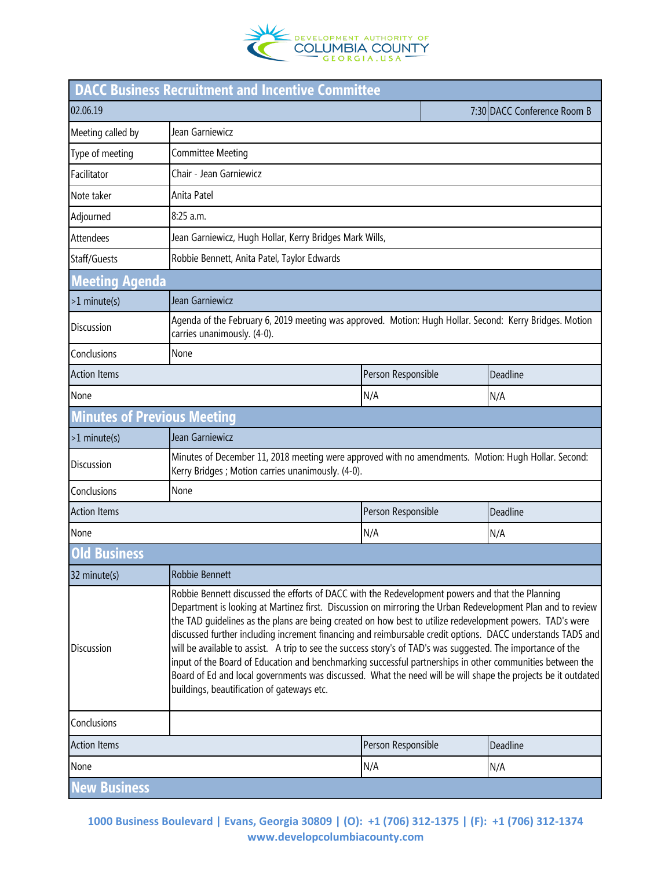

| <b>DACC Business Recruitment and Incentive Committee</b> |                                                                                                                                                                                                                                                                                                                                                                                                                                                                                                                                                                                                                                                                                                                                                                                                                                        |                    |                             |          |  |
|----------------------------------------------------------|----------------------------------------------------------------------------------------------------------------------------------------------------------------------------------------------------------------------------------------------------------------------------------------------------------------------------------------------------------------------------------------------------------------------------------------------------------------------------------------------------------------------------------------------------------------------------------------------------------------------------------------------------------------------------------------------------------------------------------------------------------------------------------------------------------------------------------------|--------------------|-----------------------------|----------|--|
| 02.06.19                                                 |                                                                                                                                                                                                                                                                                                                                                                                                                                                                                                                                                                                                                                                                                                                                                                                                                                        |                    | 7:30 DACC Conference Room B |          |  |
| Meeting called by                                        | Jean Garniewicz                                                                                                                                                                                                                                                                                                                                                                                                                                                                                                                                                                                                                                                                                                                                                                                                                        |                    |                             |          |  |
| Type of meeting                                          | Committee Meeting                                                                                                                                                                                                                                                                                                                                                                                                                                                                                                                                                                                                                                                                                                                                                                                                                      |                    |                             |          |  |
| Facilitator                                              | Chair - Jean Garniewicz                                                                                                                                                                                                                                                                                                                                                                                                                                                                                                                                                                                                                                                                                                                                                                                                                |                    |                             |          |  |
| Note taker                                               | Anita Patel                                                                                                                                                                                                                                                                                                                                                                                                                                                                                                                                                                                                                                                                                                                                                                                                                            |                    |                             |          |  |
| Adjourned                                                | 8:25 a.m.                                                                                                                                                                                                                                                                                                                                                                                                                                                                                                                                                                                                                                                                                                                                                                                                                              |                    |                             |          |  |
| <b>Attendees</b>                                         | Jean Garniewicz, Hugh Hollar, Kerry Bridges Mark Wills,                                                                                                                                                                                                                                                                                                                                                                                                                                                                                                                                                                                                                                                                                                                                                                                |                    |                             |          |  |
| Staff/Guests                                             | Robbie Bennett, Anita Patel, Taylor Edwards                                                                                                                                                                                                                                                                                                                                                                                                                                                                                                                                                                                                                                                                                                                                                                                            |                    |                             |          |  |
| <b>Meeting Agenda</b>                                    |                                                                                                                                                                                                                                                                                                                                                                                                                                                                                                                                                                                                                                                                                                                                                                                                                                        |                    |                             |          |  |
| $>1$ minute(s)                                           | Jean Garniewicz                                                                                                                                                                                                                                                                                                                                                                                                                                                                                                                                                                                                                                                                                                                                                                                                                        |                    |                             |          |  |
| <b>Discussion</b>                                        | Agenda of the February 6, 2019 meeting was approved. Motion: Hugh Hollar. Second: Kerry Bridges. Motion<br>carries unanimously. (4-0).                                                                                                                                                                                                                                                                                                                                                                                                                                                                                                                                                                                                                                                                                                 |                    |                             |          |  |
| Conclusions<br>None                                      |                                                                                                                                                                                                                                                                                                                                                                                                                                                                                                                                                                                                                                                                                                                                                                                                                                        |                    |                             |          |  |
| <b>Action Items</b>                                      |                                                                                                                                                                                                                                                                                                                                                                                                                                                                                                                                                                                                                                                                                                                                                                                                                                        | Person Responsible |                             | Deadline |  |
| None                                                     |                                                                                                                                                                                                                                                                                                                                                                                                                                                                                                                                                                                                                                                                                                                                                                                                                                        | N/A                |                             | N/A      |  |
| <b>Minutes of Previous Meeting</b>                       |                                                                                                                                                                                                                                                                                                                                                                                                                                                                                                                                                                                                                                                                                                                                                                                                                                        |                    |                             |          |  |
| $>1$ minute(s)                                           | Jean Garniewicz                                                                                                                                                                                                                                                                                                                                                                                                                                                                                                                                                                                                                                                                                                                                                                                                                        |                    |                             |          |  |
| Discussion                                               | Minutes of December 11, 2018 meeting were approved with no amendments. Motion: Hugh Hollar. Second:<br>Kerry Bridges ; Motion carries unanimously. (4-0).                                                                                                                                                                                                                                                                                                                                                                                                                                                                                                                                                                                                                                                                              |                    |                             |          |  |
| Conclusions                                              | None                                                                                                                                                                                                                                                                                                                                                                                                                                                                                                                                                                                                                                                                                                                                                                                                                                   |                    |                             |          |  |
| <b>Action Items</b>                                      |                                                                                                                                                                                                                                                                                                                                                                                                                                                                                                                                                                                                                                                                                                                                                                                                                                        | Person Responsible |                             | Deadline |  |
| None                                                     |                                                                                                                                                                                                                                                                                                                                                                                                                                                                                                                                                                                                                                                                                                                                                                                                                                        | N/A                |                             | N/A      |  |
| <b>Business</b><br>Old                                   |                                                                                                                                                                                                                                                                                                                                                                                                                                                                                                                                                                                                                                                                                                                                                                                                                                        |                    |                             |          |  |
| 32 minute(s)                                             | Robbie Bennett                                                                                                                                                                                                                                                                                                                                                                                                                                                                                                                                                                                                                                                                                                                                                                                                                         |                    |                             |          |  |
| <b>Discussion</b>                                        | Robbie Bennett discussed the efforts of DACC with the Redevelopment powers and that the Planning<br>Department is looking at Martinez first. Discussion on mirroring the Urban Redevelopment Plan and to review<br>the TAD quidelines as the plans are being created on how best to utilize redevelopment powers. TAD's were<br>discussed further including increment financing and reimbursable credit options. DACC understands TADS and<br>will be available to assist. A trip to see the success story's of TAD's was suggested. The importance of the<br>input of the Board of Education and benchmarking successful partnerships in other communities between the<br>Board of Ed and local governments was discussed. What the need will be will shape the projects be it outdated<br>buildings, beautification of gateways etc. |                    |                             |          |  |
| Conclusions                                              |                                                                                                                                                                                                                                                                                                                                                                                                                                                                                                                                                                                                                                                                                                                                                                                                                                        |                    |                             |          |  |
| <b>Action Items</b>                                      |                                                                                                                                                                                                                                                                                                                                                                                                                                                                                                                                                                                                                                                                                                                                                                                                                                        | Person Responsible |                             | Deadline |  |
| None                                                     |                                                                                                                                                                                                                                                                                                                                                                                                                                                                                                                                                                                                                                                                                                                                                                                                                                        | N/A                |                             | N/A      |  |
| <b>New Business</b>                                      |                                                                                                                                                                                                                                                                                                                                                                                                                                                                                                                                                                                                                                                                                                                                                                                                                                        |                    |                             |          |  |

**1000 Business Boulevard | Evans, Georgia 30809 | (O): +1 (706) 312-1375 | (F): +1 (706) 312-1374 www.developcolumbiacounty.com**